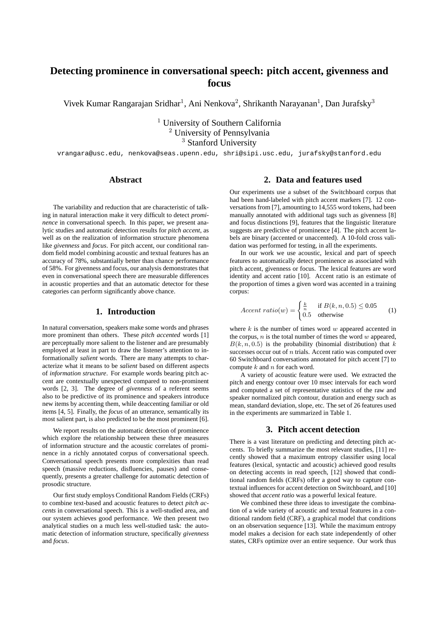# **Detecting prominence in conversational speech: pitch accent, givenness and focus**

Vivek Kumar Rangarajan Sridhar<sup>1</sup>, Ani Nenkova<sup>2</sup>, Shrikanth Narayanan<sup>1</sup>, Dan Jurafsky<sup>3</sup>

<sup>1</sup> University of Southern California <sup>2</sup> University of Pennsylvania <sup>3</sup> Stanford University

vrangara@usc.edu, nenkova@seas.upenn.edu, shri@sipi.usc.edu, jurafsky@stanford.edu

### **Abstract**

The variability and reduction that are characteristic of talking in natural interaction make it very difficult to detect *prominence* in conversational speech. In this paper, we present analytic studies and automatic detection results for *pitch accent*, as well as on the realization of information structure phenomena like *givenness* and *focus*. For pitch accent, our conditional random field model combining acoustic and textual features has an accuracy of 78%, substantially better than chance performance of 58%. For givenness and focus, our analysis demonstrates that even in conversational speech there are measurable differences in acoustic properties and that an automatic detector for these categories can perform significantly above chance.

#### **1. Introduction**

In natural conversation, speakers make some words and phrases more prominent than others. These *pitch accented* words [1] are perceptually more salient to the listener and are presumably employed at least in part to draw the listener's attention to informationally *salient* words. There are many attempts to characterize what it means to be *salient* based on different aspects of *information structure*. For example words bearing pitch accent are contextually unexpected compared to non-prominent words [2, 3]. The degree of *givenness* of a referent seems also to be predictive of its prominence and speakers introduce new items by accenting them, while deaccenting familiar or old items [4, 5]. Finally, the *focus* of an utterance, semantically its most salient part, is also predicted to be the most prominent [6].

We report results on the automatic detection of prominence which explore the relationship between these three measures of information structure and the acoustic correlates of prominence in a richly annotated corpus of conversational speech. Conversational speech presents more complexities than read speech (massive reductions, disfluencies, pauses) and consequently, presents a greater challenge for automatic detection of prosodic structure.

Our first study employs Conditional Random Fields (CRFs) to combine text-based and acoustic features to detect *pitch accents* in conversational speech. This is a well-studied area, and our system achieves good performance. We then present two analytical studies on a much less well-studied task: the automatic detection of information structure, specifically *givenness* and *focus*.

### **2. Data and features used**

Our experiments use a subset of the Switchboard corpus that had been hand-labeled with pitch accent markers [7]. 12 conversations from [7], amounting to 14,555 word tokens, had been manually annotated with additional tags such as givenness [8] and focus distinctions [9], features that the linguistic literature suggests are predictive of prominence [4]. The pitch accent labels are binary (accented or unaccented). A 10-fold cross validation was performed for testing, in all the experiments.

In our work we use acoustic, lexical and part of speech features to automatically detect prominence as associated with pitch accent, givenness or focus. The lexical features are word identity and accent ratio [10]. Accent ratio is an estimate of the proportion of times a given word was accented in a training corpus:

$$
Accent\ ratio(w) = \begin{cases} \frac{k}{n} & \text{if } B(k, n, 0.5) \le 0.05\\ 0.5 & \text{otherwise} \end{cases} \tag{1}
$$

where  $k$  is the number of times word  $w$  appeared accented in the corpus,  $n$  is the total number of times the word  $w$  appeared,  $B(k, n, 0.5)$  is the probability (binomial distribution) that k successes occur out of *n* trials. Accent ratio was computed over 60 Switchboard conversations annotated for pitch accent [7] to compute  $k$  and  $n$  for each word.

A variety of acoustic feature were used. We extracted the pitch and energy contour over 10 msec intervals for each word and computed a set of representative statistics of the raw and speaker normalized pitch contour, duration and energy such as mean, standard deviation, slope, etc. The set of 26 features used in the experiments are summarized in Table 1.

#### **3. Pitch accent detection**

There is a vast literature on predicting and detecting pitch accents. To briefly summarize the most relevant studies, [11] recently showed that a maximum entropy classifier using local features (lexical, syntactic and acoustic) achieved good results on detecting accents in read speech, [12] showed that conditional random fields (CRFs) offer a good way to capture contextual influences for accent detection on Switchboard, and [10] showed that *accent ratio* was a powerful lexical feature.

We combined these three ideas to investigate the combination of a wide variety of acoustic and textual features in a conditional random field (CRF), a graphical model that conditions on an observation sequence [13]. While the maximum entropy model makes a decision for each state independently of other states, CRFs optimize over an entire sequence. Our work thus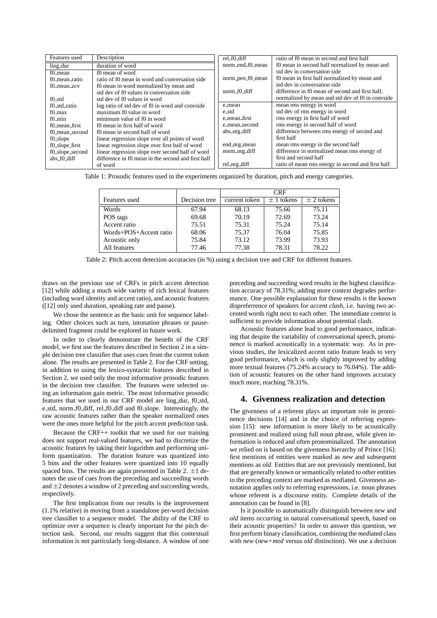| Features used     | Description                                        | rel_f0_diff      | ratio of f0 mean in second and first half         |
|-------------------|----------------------------------------------------|------------------|---------------------------------------------------|
| ling_dur          | duration of word                                   | norm_end_f0_mean | f0 mean in second half normalized by mean and     |
| f0 mean           | f0 mean of word                                    |                  | std dev in conversation side                      |
| f0 mean ratio     | ratio of f0 mean in word and conversation side     | norm_pen_f0_mean | f0 mean in first half normalized by mean and      |
| f0_mean_zcv       | f0 mean in word normalized by mean and             |                  | std dev in conversation side                      |
|                   | std dev of f0 values in conversation side          | norm_f0_diff     | difference in f0 mean of second and first half.   |
| f0 std            | std dev of f0 values in word                       |                  | normalized by mean and std dev of f0 in convside  |
| f0_std_ratio      | log ratio of std dev of f0 in word and convside    | e_mean           | mean rms energy in word                           |
| f0 max            | maximum f0 value in word                           | e_std            | std dev of rms energy in word                     |
| $f0$ min          | minimum value of f0 in word                        | e_mean_first     | rms energy in first half of word                  |
| f0_mean_first     | f0 mean in first half of word                      | e_mean_second    | rms energy in second half of word                 |
| f0_mean_second    | f0 mean in second half of word                     | abs_nrg_diff     | difference between rms energy of second and       |
| f0_slope          | linear regression slope over all points of word    |                  | first half                                        |
| $f0$ _slope_first | linear regression slope over first half of word    | end_nrg_mean     | mean rms energy in the second half                |
| f0_slope_second   | linear regression slope over second half of word   | norm_nrg_diff    | difference in normalized mean rms energy of       |
| abs_f0_diff       | difference in f0 mean in the second and first half |                  | first and second half                             |
|                   | of word                                            | rel_nrg_diff     | ratio of mean rms energy in second and first half |

Table 1: Prosodic features used in the experiments organized by duration, pitch and energy categories.

|                        |               | <b>CRF</b>    |                |             |
|------------------------|---------------|---------------|----------------|-------------|
| Features used          | Decision tree | current token | $\pm$ 1 tokens | $+2$ tokens |
| Words                  | 67.94         | 68.13         | 75.66          | 75.11       |
| POS tags               | 69.68         | 70.19         | 72.69          | 73.24       |
| Accent ratio           | 75.51         | 75.31         | 75.24          | 75.14       |
| Words+POS+Accent ratio | 68.06         | 75.37         | 76.04          | 75.85       |
| Acoustic only          | 75.84         | 73.12         | 73.99          | 73.93       |
| All features           | 77.46         | 77.38         | 78.31          | 78.22       |

Table 2: Pitch accent detection accuracies (in %) using a decision tree and CRF for different features.

draws on the previous use of CRFs in pitch accent detection [12] while adding a much wide variety of rich lexical features (including word identity and accent ratio), and acoustic features ([12] only used duration, speaking rate and pause).

We chose the sentence as the basic unit for sequence labeling. Other choices such as turn, intonation phrases or pausedelimited fragment could be explored in future work.

In order to clearly demonstrate the benefit of the CRF model, we first use the features described in Section 2 in a simple decision tree classifier that uses cues from the current token alone. The results are presented in Table 2. For the CRF setting, in addition to using the lexico-syntactic features described in Section 2, we used only the most informative prosodic features in the decision tree classifier. The features were selected using an information gain metric. The most informative prosodic features that we used in our CRF model are ling\_dur, f0\_std, e std, norm f0 diff, rel f0 diff and f0 slope. Interestingly, the raw acoustic features rather than the speaker normalized ones were the ones more helpful for the pitch accent prediction task.

Because the CRF++ toolkit that we used for our training does not support real-valued features, we had to discretize the acoustic features by taking their logarithm and performing uniform quantization. The duration feature was quantized into 5 bins and the other features were quantized into 10 equally spaced bins. The results are again presented in Table 2.  $\pm 1$  denotes the use of cues from the preceding and succeeding words and  $\pm 2$  denotes a window of 2 preceding and succeeding words, respectively.

The first implication from our results is the improvement (1.1% relative) in moving from a standalone per-word decision tree classifier to a sequence model. The ability of the CRF to optimize over a sequence is clearly important for the pitch detection task. Second, our results suggest that this contextual information is not particularly long-distance. A window of one preceding and succeeding word results in the highest classification accuracy of 78.31%; adding more context degrades performance. One possible explanation for these results is the known dispreferrence of speakers for *accent clash*, i.e. having two accented words right next to each other. The immediate context is sufficient to provide information about potential clash.

Acoustic features alone lead to good performance, indicating that despite the variability of conversational speech, prominence is marked acoustically in a systematic way. As in previous studies, the lexicalized accent ratio feature leads to very good performance, which is only slightly improved by adding more textual features (75.24% accuracy to 76.04%). The addition of acoustic features on the other hand improves accuracy much more, reaching 78.31%.

#### **4. Givenness realization and detection**

The givenness of a referent plays an important role in prominence decisions [14] and in the choice of referring expression [15]: new information is more likely to be acoustically prominent and realized using full noun phrase, while given information is reduced and often pronominalized. The annotation we relied on is based on the givenness hierarchy of Prince [16]: first mentions of entities were marked as *new* and subsequent mentions as *old*. Entities that are not previously mentioned, but that are generally known or semantically related to other entities in the preceding context are marked as *med*iated. Givenness annotation applies only to referring expressions, i.e. noun phrases whose referent is a discourse entity. Complete details of the annotation can be found in [8].

Is it possible to automatically distinguish between *new* and *old* items occurring in natural conversational speech, based on their acoustic properties? In order to answer this question, we first perform binary classification, combining the *med*iated class with *new* (*new+med* versus *old* distinction). We use a decision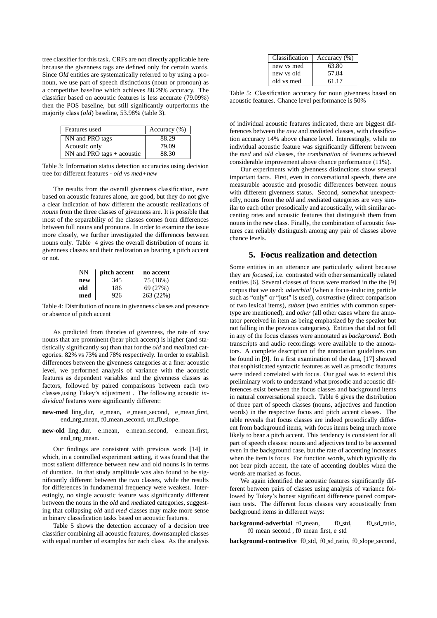tree classifier for this task. CRFs are not directly applicable here because the givenness tags are defined only for certain words. Since *Old* entities are systematically referred to by using a pronoun, we use part of speech distinctions (noun or pronoun) as a competitive baseline which achieves 88.29% accuracy. The classifier based on acoustic features is less accurate (79.09%) then the POS baseline, but still significantly outperforms the majority class (*old*) baseline, 53.98% (table 3).

| Features used                | Accuracy $(\% )$ |  |
|------------------------------|------------------|--|
| NN and PRO tags              | 88.29            |  |
| Acoustic only                | 79.09            |  |
| $NN$ and PRO tags + acoustic | 88.30            |  |

Table 3: Information status detection accuracies using decision tree for different features - *old* vs *med+new*

The results from the overall givenness classification, even based on acoustic features alone, are good, but they do not give a clear indication of how different the acoustic realizations of *nouns* from the three classes of givenness are. It is possible that most of the separability of the classes comes from differences between full nouns and pronouns. In order to examine the issue more closely, we further investigated the differences between nouns only. Table 4 gives the overall distribution of nouns in givenness classes and their realization as bearing a pitch accent or not.

| NΝ  | pitch accent | no accent |
|-----|--------------|-----------|
| new | 345          | 75 (18%)  |
| old | 186          | 69 (27%)  |
| med | 926          | 263 (22%) |

Table 4: Distribution of nouns in givenness classes and presence or absence of pitch accent

As predicted from theories of givenness, the rate of *new* nouns that are prominent (bear pitch accent) is higher (and statistically significantly so) than that for the *old* and *med*iated categories: 82% vs 73% and 78% respectively. In order to establish differences between the givenness categories at a finer acoustic level, we performed analysis of variance with the acoustic features as dependent variables and the givenness classes as factors, followed by paired comparisons between each two classes,using Tukey's adjustment . The following acoustic *individual* features were significantly different:

- **new-med** ling dur, e mean, e mean second, e mean first, end\_nrg\_mean, f0\_mean\_second, utt\_f0\_slope.
- **new-old** ling\_dur, e\_mean, e\_mean\_second, e\_mean\_first, end\_nrg\_mean.

Our findings are consistent with previous work [14] in which, in a controlled experiment setting, it was found that the most salient difference between new and old nouns is in terms of duration. In that study amplitude was also found to be significantly different between the two classes, while the results for differences in fundamental frequency were weakest. Interestingly, no single acoustic feature was significantly different between the nouns in the *old* and *med*iated categories, suggesting that collapsing *old* and *med* classes may make more sense in binary classification tasks based on acoustic features.

Table 5 shows the detection accuracy of a decision tree classifier combining all acoustic features, downsampled classes with equal number of examples for each class. As the analysis

| Classification | Accuracy $(\% )$ |
|----------------|------------------|
| new ys med     | 63.80            |
| new vs old     | 57.84            |
| old vs med     | 61.17            |

Table 5: Classification accuracy for noun givenness based on acoustic features. Chance level performance is 50%

of individual acoustic features indicated, there are biggest differences between the *new* and *med*iated classes, with classification accuracy 14% above chance level. Interestingly, while no individual acoustic feature was significantly different between the *med* and *old* classes, the *combination* of features achieved considerable improvement above chance performance (11%).

Our experiments with givenness distinctions show several important facts. First, even in conversational speech, there are measurable acoustic and prosodic differences between nouns with different givenness status. Second, somewhat unexpectedly, nouns from the *old* and *med*iated categories are very similar to each other prosodically and acoustically, with similar accenting rates and acoustic features that distinguish them from nouns in the *new* class. Finally, the combination of acoustic features can reliably distinguish among any pair of classes above chance levels.

## **5. Focus realization and detection**

Some entities in an utterance are particularly salient because they are *focused*, i.e. contrasted with other semantically related entities [6]. Several classes of focus were marked in the the [9] corpus that we used: *adverbial* (when a focus-inducing particle such as "only" or "just" is used), *contrastive* (direct comparison of two lexical items), *subset* (two entities with common supertype are mentioned), and *other* (all other cases where the annotator perceived in item as being emphasized by the speaker but not falling in the previous categories). Entities that did not fall in any of the focus classes were annotated as *background*. Both transcripts and audio recordings were available to the annotators. A complete description of the annotation guidelines can be found in [9]. In a first examination of the data, [17] showed that sophisticated syntactic features as well as prosodic features were indeed correlated with focus. Our goal was to extend this preliminary work to understand what prosodic and acoustic differences exist between the focus classes and background items in natural conversational speech. Table 6 gives the distribution of three part of speech classes (nouns, adjectives and function words) in the respective focus and pitch accent classes. The table reveals that focus classes are indeed prosodically different from background items, with focus items being much more likely to bear a pitch accent. This tendency is consistent for all part of speech classes: nouns and adjectives tend to be accented even in the background case, but the rate of accenting increases when the item is focus. For function words, which typically do not bear pitch accent, the rate of accenting doubles when the words are marked as focus.

We again identified the acoustic features significantly different between pairs of classes using analysis of variance followed by Tukey's honest significant difference paired comparison tests. The different focus classes vary acoustically from background items in different ways:

**background-adverbial** f0\_mean, f0\_std, f0\_sd\_ratio, f0 mean second , f0 mean first, e std

**background-contrastive** f0\_std, f0\_sd\_ratio, f0\_slope\_second,